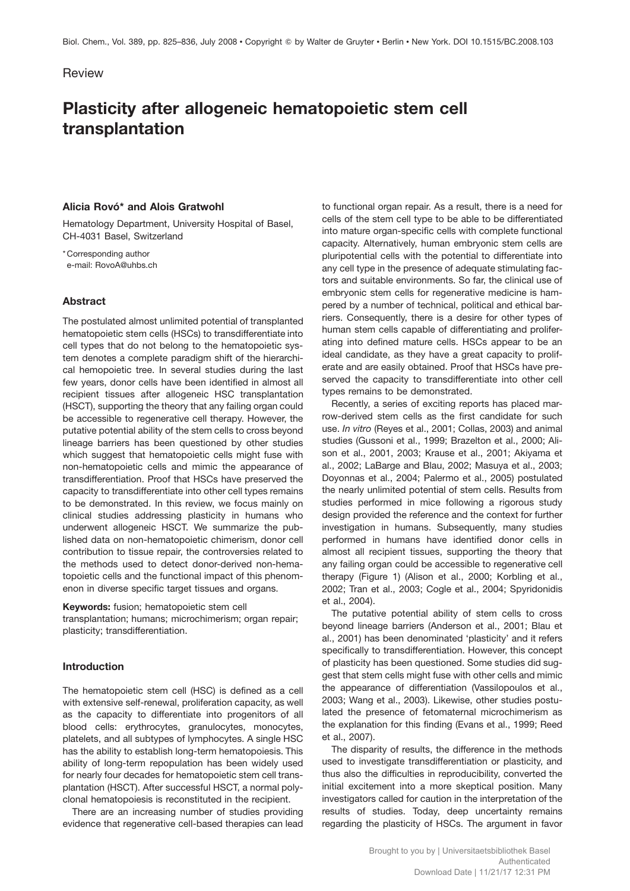## Review

# **Plasticity after allogeneic hematopoietic stem cell transplantation**

## **Alicia Rovó\* and Alois Gratwohl**

Hematology Department, University Hospital of Basel, CH-4031 Basel, Switzerland

\* Corresponding author e-mail: RovoA@uhbs.ch

## **Abstract**

The postulated almost unlimited potential of transplanted hematopoietic stem cells (HSCs) to transdifferentiate into cell types that do not belong to the hematopoietic system denotes a complete paradigm shift of the hierarchical hemopoietic tree. In several studies during the last few years, donor cells have been identified in almost all recipient tissues after allogeneic HSC transplantation (HSCT), supporting the theory that any failing organ could be accessible to regenerative cell therapy. However, the putative potential ability of the stem cells to cross beyond lineage barriers has been questioned by other studies which suggest that hematopoietic cells might fuse with non-hematopoietic cells and mimic the appearance of transdifferentiation. Proof that HSCs have preserved the capacity to transdifferentiate into other cell types remains to be demonstrated. In this review, we focus mainly on clinical studies addressing plasticity in humans who underwent allogeneic HSCT. We summarize the published data on non-hematopoietic chimerism, donor cell contribution to tissue repair, the controversies related to the methods used to detect donor-derived non-hematopoietic cells and the functional impact of this phenomenon in diverse specific target tissues and organs.

**Keywords:** fusion; hematopoietic stem cell transplantation; humans; microchimerism; organ repair; plasticity; transdifferentiation.

# **Introduction**

The hematopoietic stem cell (HSC) is defined as a cell with extensive self-renewal, proliferation capacity, as well as the capacity to differentiate into progenitors of all blood cells: erythrocytes, granulocytes, monocytes, platelets, and all subtypes of lymphocytes. A single HSC has the ability to establish long-term hematopoiesis. This ability of long-term repopulation has been widely used for nearly four decades for hematopoietic stem cell transplantation (HSCT). After successful HSCT, a normal polyclonal hematopoiesis is reconstituted in the recipient.

There are an increasing number of studies providing evidence that regenerative cell-based therapies can lead

to functional organ repair. As a result, there is a need for cells of the stem cell type to be able to be differentiated into mature organ-specific cells with complete functional capacity. Alternatively, human embryonic stem cells are pluripotential cells with the potential to differentiate into any cell type in the presence of adequate stimulating factors and suitable environments. So far, the clinical use of embryonic stem cells for regenerative medicine is hampered by a number of technical, political and ethical barriers. Consequently, there is a desire for other types of human stem cells capable of differentiating and proliferating into defined mature cells. HSCs appear to be an ideal candidate, as they have a great capacity to proliferate and are easily obtained. Proof that HSCs have preserved the capacity to transdifferentiate into other cell types remains to be demonstrated.

Recently, a series of exciting reports has placed marrow-derived stem cells as the first candidate for such use. *In vitro* (Reyes et al., 2001; Collas, 2003) and animal studies (Gussoni et al., 1999; Brazelton et al., 2000; Alison et al., 2001, 2003; Krause et al., 2001; Akiyama et al., 2002; LaBarge and Blau, 2002; Masuya et al., 2003; Doyonnas et al., 2004; Palermo et al., 2005) postulated the nearly unlimited potential of stem cells. Results from studies performed in mice following a rigorous study design provided the reference and the context for further investigation in humans. Subsequently, many studies performed in humans have identified donor cells in almost all recipient tissues, supporting the theory that any failing organ could be accessible to regenerative cell therapy (Figure 1) (Alison et al., 2000; Korbling et al., 2002; Tran et al., 2003; Cogle et al., 2004; Spyridonidis et al., 2004).

The putative potential ability of stem cells to cross beyond lineage barriers (Anderson et al., 2001; Blau et al., 2001) has been denominated 'plasticity' and it refers specifically to transdifferentiation. However, this concept of plasticity has been questioned. Some studies did suggest that stem cells might fuse with other cells and mimic the appearance of differentiation (Vassilopoulos et al., 2003; Wang et al., 2003). Likewise, other studies postulated the presence of fetomaternal microchimerism as the explanation for this finding (Evans et al., 1999; Reed et al., 2007).

The disparity of results, the difference in the methods used to investigate transdifferentiation or plasticity, and thus also the difficulties in reproducibility, converted the initial excitement into a more skeptical position. Many investigators called for caution in the interpretation of the results of studies. Today, deep uncertainty remains regarding the plasticity of HSCs. The argument in favor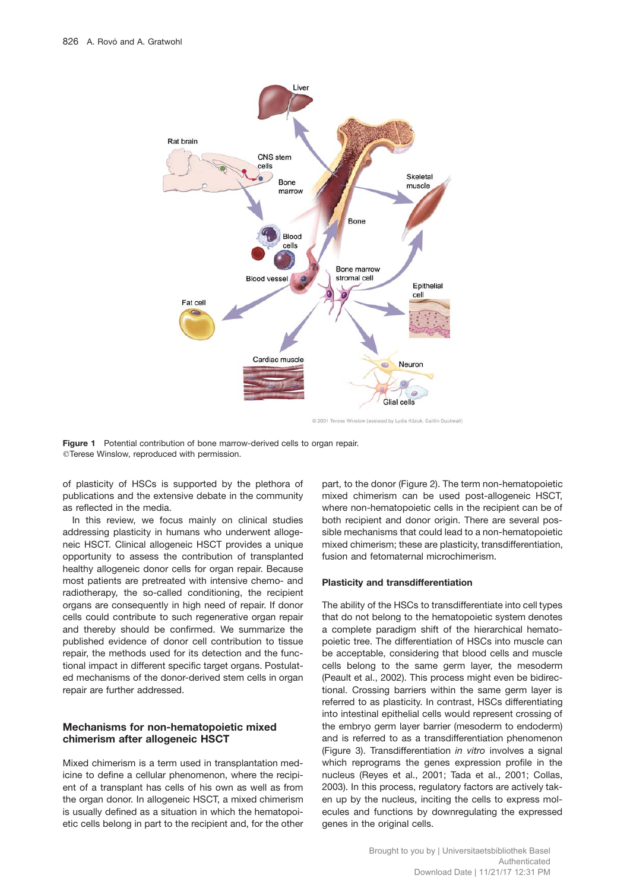

C 2001 Terese Winslow (assisted by Lydia Kibluk, Caltlin Duckwall)

**Figure 1** Potential contribution of bone marrow-derived cells to organ repair. Terese Winslow, reproduced with permission.

of plasticity of HSCs is supported by the plethora of publications and the extensive debate in the community as reflected in the media.

In this review, we focus mainly on clinical studies addressing plasticity in humans who underwent allogeneic HSCT. Clinical allogeneic HSCT provides a unique opportunity to assess the contribution of transplanted healthy allogeneic donor cells for organ repair. Because most patients are pretreated with intensive chemo- and radiotherapy, the so-called conditioning, the recipient organs are consequently in high need of repair. If donor cells could contribute to such regenerative organ repair and thereby should be confirmed. We summarize the published evidence of donor cell contribution to tissue repair, the methods used for its detection and the functional impact in different specific target organs. Postulated mechanisms of the donor-derived stem cells in organ repair are further addressed.

## **Mechanisms for non-hematopoietic mixed chimerism after allogeneic HSCT**

Mixed chimerism is a term used in transplantation medicine to define a cellular phenomenon, where the recipient of a transplant has cells of his own as well as from the organ donor. In allogeneic HSCT, a mixed chimerism is usually defined as a situation in which the hematopoietic cells belong in part to the recipient and, for the other

part, to the donor (Figure 2). The term non-hematopoietic mixed chimerism can be used post-allogeneic HSCT, where non-hematopoietic cells in the recipient can be of both recipient and donor origin. There are several possible mechanisms that could lead to a non-hematopoietic mixed chimerism; these are plasticity, transdifferentiation, fusion and fetomaternal microchimerism.

#### **Plasticity and transdifferentiation**

The ability of the HSCs to transdifferentiate into cell types that do not belong to the hematopoietic system denotes a complete paradigm shift of the hierarchical hematopoietic tree. The differentiation of HSCs into muscle can be acceptable, considering that blood cells and muscle cells belong to the same germ layer, the mesoderm (Peault et al., 2002). This process might even be bidirectional. Crossing barriers within the same germ layer is referred to as plasticity. In contrast, HSCs differentiating into intestinal epithelial cells would represent crossing of the embryo germ layer barrier (mesoderm to endoderm) and is referred to as a transdifferentiation phenomenon (Figure 3). Transdifferentiation *in vitro* involves a signal which reprograms the genes expression profile in the nucleus (Reyes et al., 2001; Tada et al., 2001; Collas, 2003). In this process, regulatory factors are actively taken up by the nucleus, inciting the cells to express molecules and functions by downregulating the expressed genes in the original cells.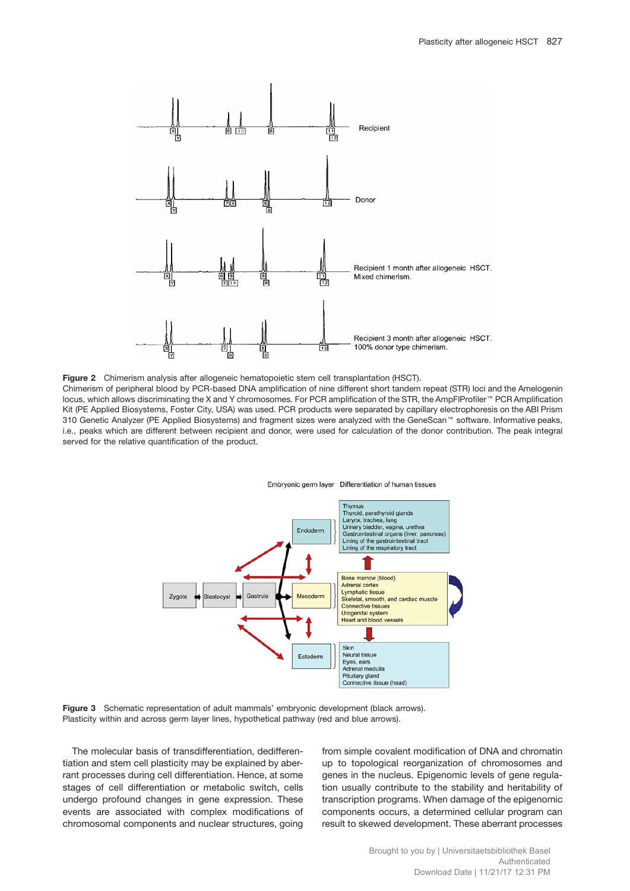

**Figure 2** Chimerism analysis after allogeneic hematopoietic stem cell transplantation (HSCT). Chimerism of peripheral blood by PCR-based DNA amplification of nine different short tandem repeat (STR) loci and the Amelogenin locus, which allows discriminating the X and Y chromosomes. For PCR amplification of the STR, the AmpFlProfiler™ PCR Amplification Kit (PE Applied Biosystems, Foster City, USA) was used. PCR products were separated by capillary electrophoresis on the ABI Prism 310 Genetic Analyzer (PE Applied Biosystems) and fragment sizes were analyzed with the GeneScan™ software. Informative peaks, i.e., peaks which are different between recipient and donor, were used for calculation of the donor contribution. The peak integral





**Figure 3** Schematic representation of adult mammals' embryonic development (black arrows). Plasticity within and across germ layer lines, hypothetical pathway (red and blue arrows).

The molecular basis of transdifferentiation, dedifferentiation and stem cell plasticity may be explained by aberrant processes during cell differentiation. Hence, at some stages of cell differentiation or metabolic switch, cells undergo profound changes in gene expression. These events are associated with complex modifications of chromosomal components and nuclear structures, going

served for the relative quantification of the product.

from simple covalent modification of DNA and chromatin up to topological reorganization of chromosomes and genes in the nucleus. Epigenomic levels of gene regulation usually contribute to the stability and heritability of transcription programs. When damage of the epigenomic components occurs, a determined cellular program can result to skewed development. These aberrant processes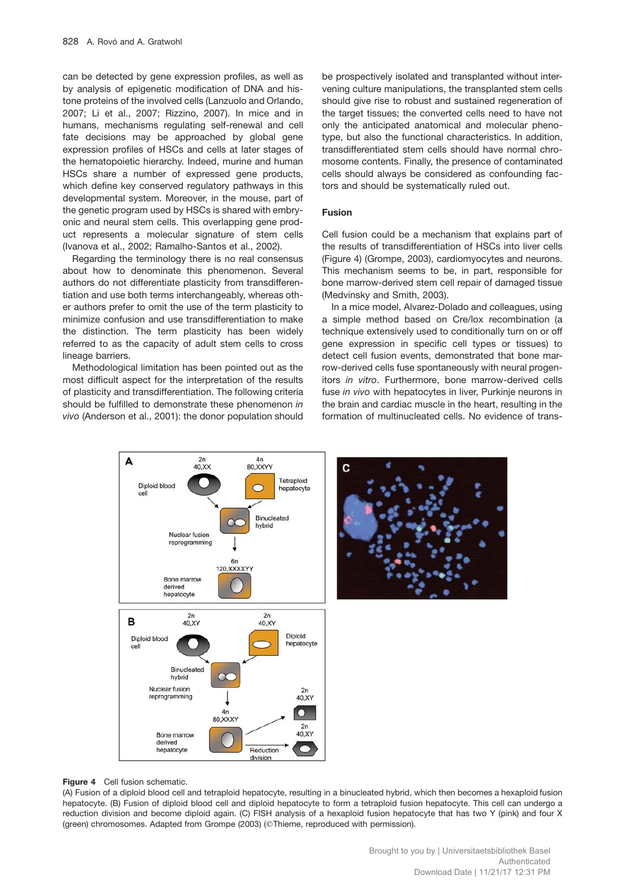can be detected by gene expression profiles, as well as by analysis of epigenetic modification of DNA and histone proteins of the involved cells (Lanzuolo and Orlando, 2007; Li et al., 2007; Rizzino, 2007). In mice and in humans, mechanisms regulating self-renewal and cell fate decisions may be approached by global gene expression profiles of HSCs and cells at later stages of the hematopoietic hierarchy. Indeed, murine and human HSCs share a number of expressed gene products, which define key conserved regulatory pathways in this developmental system. Moreover, in the mouse, part of the genetic program used by HSCs is shared with embryonic and neural stem cells. This overlapping gene product represents a molecular signature of stem cells (Ivanova et al., 2002; Ramalho-Santos et al., 2002).

Regarding the terminology there is no real consensus about how to denominate this phenomenon. Several authors do not differentiate plasticity from transdifferentiation and use both terms interchangeably, whereas other authors prefer to omit the use of the term plasticity to minimize confusion and use transdifferentiation to make the distinction. The term plasticity has been widely referred to as the capacity of adult stem cells to cross lineage barriers.

Methodological limitation has been pointed out as the most difficult aspect for the interpretation of the results of plasticity and transdifferentiation. The following criteria should be fulfilled to demonstrate these phenomenon *in vivo* (Anderson et al., 2001): the donor population should be prospectively isolated and transplanted without intervening culture manipulations, the transplanted stem cells should give rise to robust and sustained regeneration of the target tissues; the converted cells need to have not only the anticipated anatomical and molecular phenotype, but also the functional characteristics. In addition, transdifferentiated stem cells should have normal chromosome contents. Finally, the presence of contaminated cells should always be considered as confounding factors and should be systematically ruled out.

## **Fusion**

Cell fusion could be a mechanism that explains part of the results of transdifferentiation of HSCs into liver cells (Figure 4) (Grompe, 2003), cardiomyocytes and neurons. This mechanism seems to be, in part, responsible for bone marrow-derived stem cell repair of damaged tissue (Medvinsky and Smith, 2003).

In a mice model, Alvarez-Dolado and colleagues, using a simple method based on Cre/lox recombination (a technique extensively used to conditionally turn on or off gene expression in specific cell types or tissues) to detect cell fusion events, demonstrated that bone marrow-derived cells fuse spontaneously with neural progenitors *in vitro*. Furthermore, bone marrow-derived cells fuse *in vivo* with hepatocytes in liver, Purkinje neurons in the brain and cardiac muscle in the heart, resulting in the formation of multinucleated cells. No evidence of trans-



**Figure 4** Cell fusion schematic.

(A) Fusion of a diploid blood cell and tetraploid hepatocyte, resulting in a binucleated hybrid, which then becomes a hexaploid fusion hepatocyte. (B) Fusion of diploid blood cell and diploid hepatocyte to form a tetraploid fusion hepatocyte. This cell can undergo a reduction division and become diploid again. (C) FISH analysis of a hexaploid fusion hepatocyte that has two Y (pink) and four X (green) chromosomes. Adapted from Grompe (2003) (Thieme, reproduced with permission).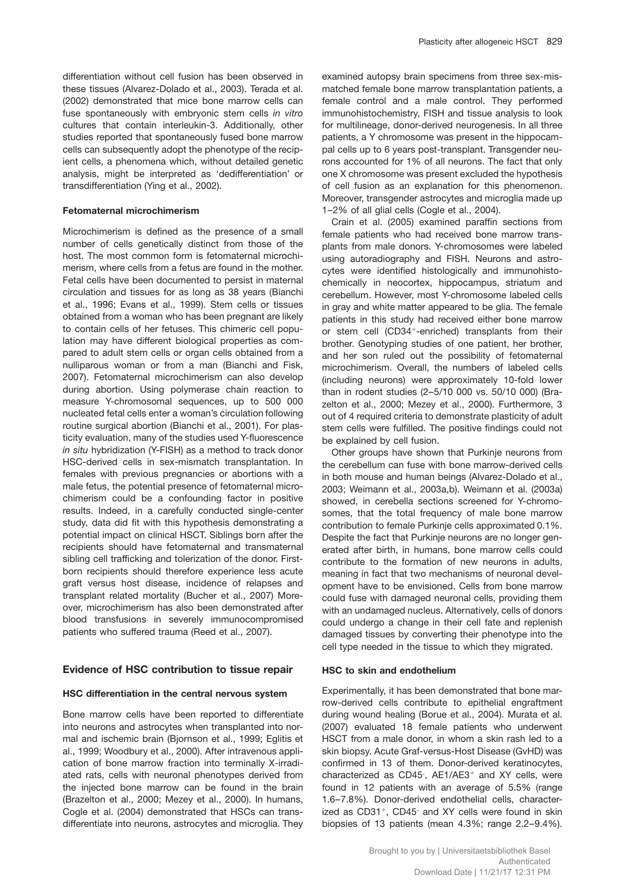differentiation without cell fusion has been observed in these tissues (Alvarez-Dolado et al., 2003). Terada et al. (2002) demonstrated that mice bone marrow cells can fuse spontaneously with embryonic stem cells *in vitro* cultures that contain interleukin-3. Additionally, other studies reported that spontaneously fused bone marrow cells can subsequently adopt the phenotype of the recipient cells, a phenomena which, without detailed genetic analysis, might be interpreted as 'dedifferentiation' or transdifferentiation (Ying et al., 2002).

## **Fetomaternal microchimerism**

Microchimerism is defined as the presence of a small number of cells genetically distinct from those of the host. The most common form is fetomaternal microchimerism, where cells from a fetus are found in the mother. Fetal cells have been documented to persist in maternal circulation and tissues for as long as 38 years (Bianchi et al., 1996; Evans et al., 1999). Stem cells or tissues obtained from a woman who has been pregnant are likely to contain cells of her fetuses. This chimeric cell population may have different biological properties as compared to adult stem cells or organ cells obtained from a nulliparous woman or from a man (Bianchi and Fisk, 2007). Fetomaternal microchimerism can also develop during abortion. Using polymerase chain reaction to measure Y-chromosomal sequences, up to 500 000 nucleated fetal cells enter a woman's circulation following routine surgical abortion (Bianchi et al., 2001). For plasticity evaluation, many of the studies used Y-fluorescence *in situ* hybridization (Y-FISH) as a method to track donor HSC-derived cells in sex-mismatch transplantation. In females with previous pregnancies or abortions with a male fetus, the potential presence of fetomaternal microchimerism could be a confounding factor in positive results. Indeed, in a carefully conducted single-center study, data did fit with this hypothesis demonstrating a potential impact on clinical HSCT. Siblings born after the recipients should have fetomaternal and transmaternal sibling cell trafficking and tolerization of the donor. Firstborn recipients should therefore experience less acute graft versus host disease, incidence of relapses and transplant related mortality (Bucher et al., 2007) Moreover, microchimerism has also been demonstrated after blood transfusions in severely immunocompromised patients who suffered trauma (Reed et al., 2007).

## **Evidence of HSC contribution to tissue repair**

#### **HSC differentiation in the central nervous system**

Bone marrow cells have been reported to differentiate into neurons and astrocytes when transplanted into normal and ischemic brain (Bjornson et al., 1999; Eglitis et al., 1999; Woodbury et al., 2000). After intravenous application of bone marrow fraction into terminally X-irradiated rats, cells with neuronal phenotypes derived from the injected bone marrow can be found in the brain (Brazelton et al., 2000; Mezey et al., 2000). In humans, Cogle et al. (2004) demonstrated that HSCs can transdifferentiate into neurons, astrocytes and microglia. They examined autopsy brain specimens from three sex-mismatched female bone marrow transplantation patients, a female control and a male control. They performed immunohistochemistry, FISH and tissue analysis to look for multilineage, donor-derived neurogenesis. In all three patients, a Y chromosome was present in the hippocampal cells up to 6 years post-transplant. Transgender neurons accounted for 1% of all neurons. The fact that only one X chromosome was present excluded the hypothesis of cell fusion as an explanation for this phenomenon. Moreover, transgender astrocytes and microglia made up 1–2% of all glial cells (Cogle et al., 2004).

Crain et al. (2005) examined paraffin sections from female patients who had received bone marrow transplants from male donors. Y-chromosomes were labeled using autoradiography and FISH. Neurons and astrocytes were identified histologically and immunohistochemically in neocortex, hippocampus, striatum and cerebellum. However, most Y-chromosome labeled cells in gray and white matter appeared to be glia. The female patients in this study had received either bone marrow or stem cell  $(CD34<sup>+</sup>-enriched)$  transplants from their brother. Genotyping studies of one patient, her brother, and her son ruled out the possibility of fetomaternal microchimerism. Overall, the numbers of labeled cells (including neurons) were approximately 10-fold lower than in rodent studies (2–5/10 000 vs. 50/10 000) (Brazelton et al., 2000; Mezey et al., 2000). Furthermore, 3 out of 4 required criteria to demonstrate plasticity of adult stem cells were fulfilled. The positive findings could not be explained by cell fusion.

Other groups have shown that Purkinje neurons from the cerebellum can fuse with bone marrow-derived cells in both mouse and human beings (Alvarez-Dolado et al., 2003; Weimann et al., 2003a,b). Weimann et al. (2003a) showed, in cerebella sections screened for Y-chromosomes, that the total frequency of male bone marrow contribution to female Purkinje cells approximated 0.1%. Despite the fact that Purkinje neurons are no longer generated after birth, in humans, bone marrow cells could contribute to the formation of new neurons in adults, meaning in fact that two mechanisms of neuronal development have to be envisioned. Cells from bone marrow could fuse with damaged neuronal cells, providing them with an undamaged nucleus. Alternatively, cells of donors could undergo a change in their cell fate and replenish damaged tissues by converting their phenotype into the cell type needed in the tissue to which they migrated.

#### **HSC to skin and endothelium**

Experimentally, it has been demonstrated that bone marrow-derived cells contribute to epithelial engraftment during wound healing (Borue et al., 2004). Murata et al. (2007) evaluated 18 female patients who underwent HSCT from a male donor, in whom a skin rash led to a skin biopsy. Acute Graf-versus-Host Disease (GvHD) was confirmed in 13 of them. Donor-derived keratinocytes, characterized as CD45 ,  $AE1/AE3$ <sup>+</sup> and XY cells, were found in 12 patients with an average of 5.5% (range 1.6–7.8%). Donor-derived endothelial cells, characterized as CD31<sup>+</sup>, CD45<sup>-</sup> and XY cells were found in skin biopsies of 13 patients (mean 4.3%; range 2.2–9.4%).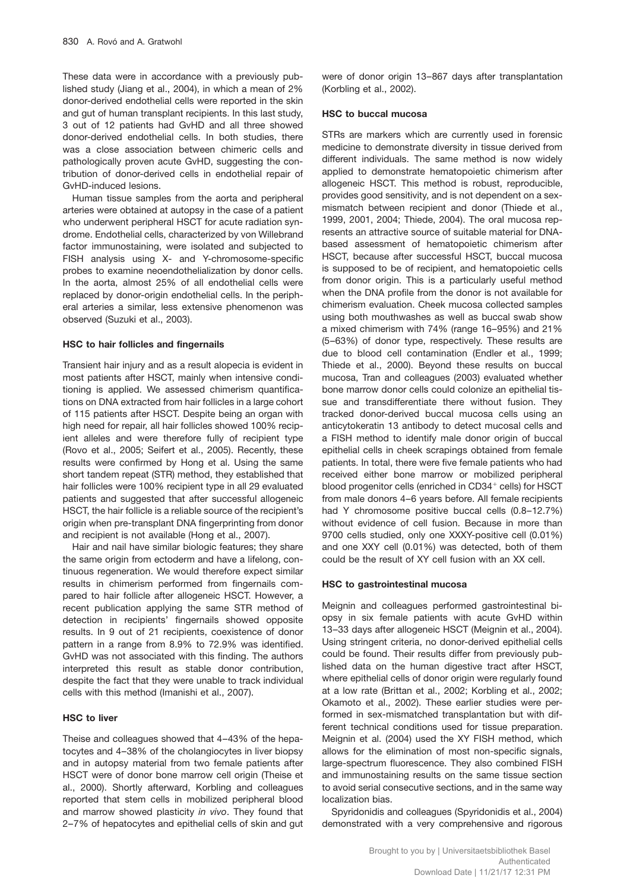These data were in accordance with a previously published study (Jiang et al., 2004), in which a mean of 2% donor-derived endothelial cells were reported in the skin and gut of human transplant recipients. In this last study, 3 out of 12 patients had GvHD and all three showed donor-derived endothelial cells. In both studies, there was a close association between chimeric cells and pathologically proven acute GvHD, suggesting the contribution of donor-derived cells in endothelial repair of GvHD-induced lesions.

Human tissue samples from the aorta and peripheral arteries were obtained at autopsy in the case of a patient who underwent peripheral HSCT for acute radiation syndrome. Endothelial cells, characterized by von Willebrand factor immunostaining, were isolated and subjected to FISH analysis using X- and Y-chromosome-specific probes to examine neoendothelialization by donor cells. In the aorta, almost 25% of all endothelial cells were replaced by donor-origin endothelial cells. In the peripheral arteries a similar, less extensive phenomenon was observed (Suzuki et al., 2003).

## **HSC to hair follicles and fingernails**

Transient hair injury and as a result alopecia is evident in most patients after HSCT, mainly when intensive conditioning is applied. We assessed chimerism quantifications on DNA extracted from hair follicles in a large cohort of 115 patients after HSCT. Despite being an organ with high need for repair, all hair follicles showed 100% recipient alleles and were therefore fully of recipient type (Rovo et al., 2005; Seifert et al., 2005). Recently, these results were confirmed by Hong et al. Using the same short tandem repeat (STR) method, they established that hair follicles were 100% recipient type in all 29 evaluated patients and suggested that after successful allogeneic HSCT, the hair follicle is a reliable source of the recipient's origin when pre-transplant DNA fingerprinting from donor and recipient is not available (Hong et al., 2007).

Hair and nail have similar biologic features; they share the same origin from ectoderm and have a lifelong, continuous regeneration. We would therefore expect similar results in chimerism performed from fingernails compared to hair follicle after allogeneic HSCT. However, a recent publication applying the same STR method of detection in recipients' fingernails showed opposite results. In 9 out of 21 recipients, coexistence of donor pattern in a range from 8.9% to 72.9% was identified. GvHD was not associated with this finding. The authors interpreted this result as stable donor contribution, despite the fact that they were unable to track individual cells with this method (Imanishi et al., 2007).

#### **HSC to liver**

Theise and colleagues showed that 4–43% of the hepatocytes and 4–38% of the cholangiocytes in liver biopsy and in autopsy material from two female patients after HSCT were of donor bone marrow cell origin (Theise et al., 2000). Shortly afterward, Korbling and colleagues reported that stem cells in mobilized peripheral blood and marrow showed plasticity *in vivo*. They found that 2–7% of hepatocytes and epithelial cells of skin and gut were of donor origin 13–867 days after transplantation (Korbling et al., 2002).

### **HSC to buccal mucosa**

STRs are markers which are currently used in forensic medicine to demonstrate diversity in tissue derived from different individuals. The same method is now widely applied to demonstrate hematopoietic chimerism after allogeneic HSCT. This method is robust, reproducible, provides good sensitivity, and is not dependent on a sexmismatch between recipient and donor (Thiede et al., 1999, 2001, 2004; Thiede, 2004). The oral mucosa represents an attractive source of suitable material for DNAbased assessment of hematopoietic chimerism after HSCT, because after successful HSCT, buccal mucosa is supposed to be of recipient, and hematopoietic cells from donor origin. This is a particularly useful method when the DNA profile from the donor is not available for chimerism evaluation. Cheek mucosa collected samples using both mouthwashes as well as buccal swab show a mixed chimerism with 74% (range 16–95%) and 21% (5–63%) of donor type, respectively. These results are due to blood cell contamination (Endler et al., 1999; Thiede et al., 2000). Beyond these results on buccal mucosa, Tran and colleagues (2003) evaluated whether bone marrow donor cells could colonize an epithelial tissue and transdifferentiate there without fusion. They tracked donor-derived buccal mucosa cells using an anticytokeratin 13 antibody to detect mucosal cells and a FISH method to identify male donor origin of buccal epithelial cells in cheek scrapings obtained from female patients. In total, there were five female patients who had received either bone marrow or mobilized peripheral blood progenitor cells (enriched in CD34<sup>+</sup> cells) for HSCT from male donors 4–6 years before. All female recipients had Y chromosome positive buccal cells (0.8–12.7%) without evidence of cell fusion. Because in more than 9700 cells studied, only one XXXY-positive cell (0.01%) and one XXY cell (0.01%) was detected, both of them could be the result of XY cell fusion with an XX cell.

### **HSC to gastrointestinal mucosa**

Meignin and colleagues performed gastrointestinal biopsy in six female patients with acute GvHD within 13–33 days after allogeneic HSCT (Meignin et al., 2004). Using stringent criteria, no donor-derived epithelial cells could be found. Their results differ from previously published data on the human digestive tract after HSCT, where epithelial cells of donor origin were regularly found at a low rate (Brittan et al., 2002; Korbling et al., 2002; Okamoto et al., 2002). These earlier studies were performed in sex-mismatched transplantation but with different technical conditions used for tissue preparation. Meignin et al. (2004) used the XY FISH method, which allows for the elimination of most non-specific signals, large-spectrum fluorescence. They also combined FISH and immunostaining results on the same tissue section to avoid serial consecutive sections, and in the same way localization bias.

Spyridonidis and colleagues (Spyridonidis et al., 2004) demonstrated with a very comprehensive and rigorous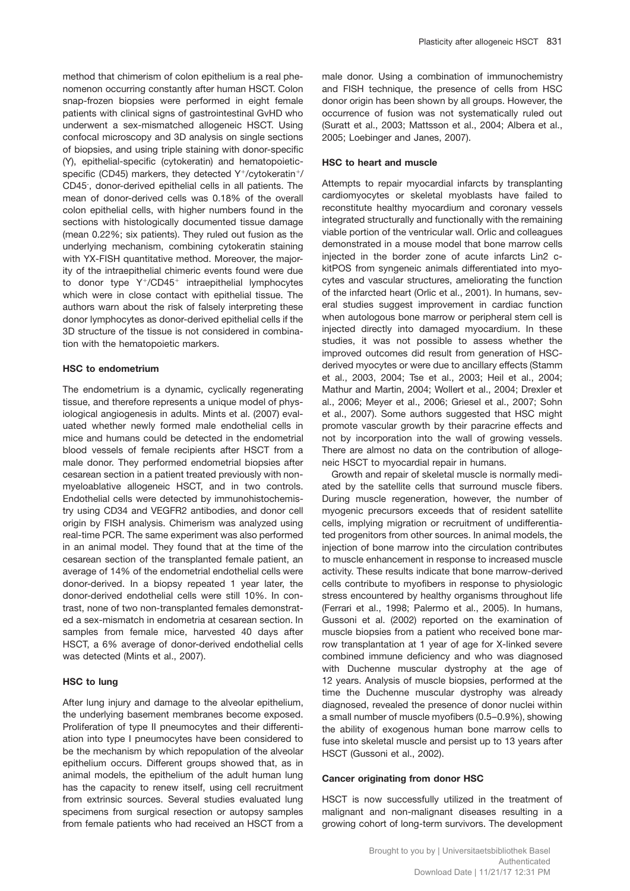method that chimerism of colon epithelium is a real phenomenon occurring constantly after human HSCT. Colon snap-frozen biopsies were performed in eight female patients with clinical signs of gastrointestinal GvHD who underwent a sex-mismatched allogeneic HSCT. Using confocal microscopy and 3D analysis on single sections of biopsies, and using triple staining with donor-specific (Y), epithelial-specific (cytokeratin) and hematopoieticspecific (CD45) markers, they detected  $Y^+$ /cytokeratin<sup>+</sup>/ CD45- , donor-derived epithelial cells in all patients. The mean of donor-derived cells was 0.18% of the overall colon epithelial cells, with higher numbers found in the sections with histologically documented tissue damage (mean 0.22%; six patients). They ruled out fusion as the underlying mechanism, combining cytokeratin staining with YX-FISH quantitative method. Moreover, the majority of the intraepithelial chimeric events found were due to donor type  $Y^{\dagger}/CD45^{\dagger}$  intraepithelial lymphocytes which were in close contact with epithelial tissue. The authors warn about the risk of falsely interpreting these donor lymphocytes as donor-derived epithelial cells if the 3D structure of the tissue is not considered in combination with the hematopoietic markers.

# **HSC to endometrium**

The endometrium is a dynamic, cyclically regenerating tissue, and therefore represents a unique model of physiological angiogenesis in adults. Mints et al. (2007) evaluated whether newly formed male endothelial cells in mice and humans could be detected in the endometrial blood vessels of female recipients after HSCT from a male donor. They performed endometrial biopsies after cesarean section in a patient treated previously with nonmyeloablative allogeneic HSCT, and in two controls. Endothelial cells were detected by immunohistochemistry using CD34 and VEGFR2 antibodies, and donor cell origin by FISH analysis. Chimerism was analyzed using real-time PCR. The same experiment was also performed in an animal model. They found that at the time of the cesarean section of the transplanted female patient, an average of 14% of the endometrial endothelial cells were donor-derived. In a biopsy repeated 1 year later, the donor-derived endothelial cells were still 10%. In contrast, none of two non-transplanted females demonstrated a sex-mismatch in endometria at cesarean section. In samples from female mice, harvested 40 days after HSCT, a 6% average of donor-derived endothelial cells was detected (Mints et al., 2007).

#### **HSC to lung**

After lung injury and damage to the alveolar epithelium, the underlying basement membranes become exposed. Proliferation of type II pneumocytes and their differentiation into type I pneumocytes have been considered to be the mechanism by which repopulation of the alveolar epithelium occurs. Different groups showed that, as in animal models, the epithelium of the adult human lung has the capacity to renew itself, using cell recruitment from extrinsic sources. Several studies evaluated lung specimens from surgical resection or autopsy samples from female patients who had received an HSCT from a male donor. Using a combination of immunochemistry and FISH technique, the presence of cells from HSC donor origin has been shown by all groups. However, the occurrence of fusion was not systematically ruled out (Suratt et al., 2003; Mattsson et al., 2004; Albera et al., 2005; Loebinger and Janes, 2007).

#### **HSC to heart and muscle**

Attempts to repair myocardial infarcts by transplanting cardiomyocytes or skeletal myoblasts have failed to reconstitute healthy myocardium and coronary vessels integrated structurally and functionally with the remaining viable portion of the ventricular wall. Orlic and colleagues demonstrated in a mouse model that bone marrow cells injected in the border zone of acute infarcts Lin2 ckitPOS from syngeneic animals differentiated into myocytes and vascular structures, ameliorating the function of the infarcted heart (Orlic et al., 2001). In humans, several studies suggest improvement in cardiac function when autologous bone marrow or peripheral stem cell is injected directly into damaged myocardium. In these studies, it was not possible to assess whether the improved outcomes did result from generation of HSCderived myocytes or were due to ancillary effects (Stamm et al., 2003, 2004; Tse et al., 2003; Heil et al., 2004; Mathur and Martin, 2004; Wollert et al., 2004; Drexler et al., 2006; Meyer et al., 2006; Griesel et al., 2007; Sohn et al., 2007). Some authors suggested that HSC might promote vascular growth by their paracrine effects and not by incorporation into the wall of growing vessels. There are almost no data on the contribution of allogeneic HSCT to myocardial repair in humans.

Growth and repair of skeletal muscle is normally mediated by the satellite cells that surround muscle fibers. During muscle regeneration, however, the number of myogenic precursors exceeds that of resident satellite cells, implying migration or recruitment of undifferentiated progenitors from other sources. In animal models, the injection of bone marrow into the circulation contributes to muscle enhancement in response to increased muscle activity. These results indicate that bone marrow-derived cells contribute to myofibers in response to physiologic stress encountered by healthy organisms throughout life (Ferrari et al., 1998; Palermo et al., 2005). In humans, Gussoni et al. (2002) reported on the examination of muscle biopsies from a patient who received bone marrow transplantation at 1 year of age for X-linked severe combined immune deficiency and who was diagnosed with Duchenne muscular dystrophy at the age of 12 years. Analysis of muscle biopsies, performed at the time the Duchenne muscular dystrophy was already diagnosed, revealed the presence of donor nuclei within a small number of muscle myofibers (0.5–0.9%), showing the ability of exogenous human bone marrow cells to fuse into skeletal muscle and persist up to 13 years after HSCT (Gussoni et al., 2002).

#### **Cancer originating from donor HSC**

HSCT is now successfully utilized in the treatment of malignant and non-malignant diseases resulting in a growing cohort of long-term survivors. The development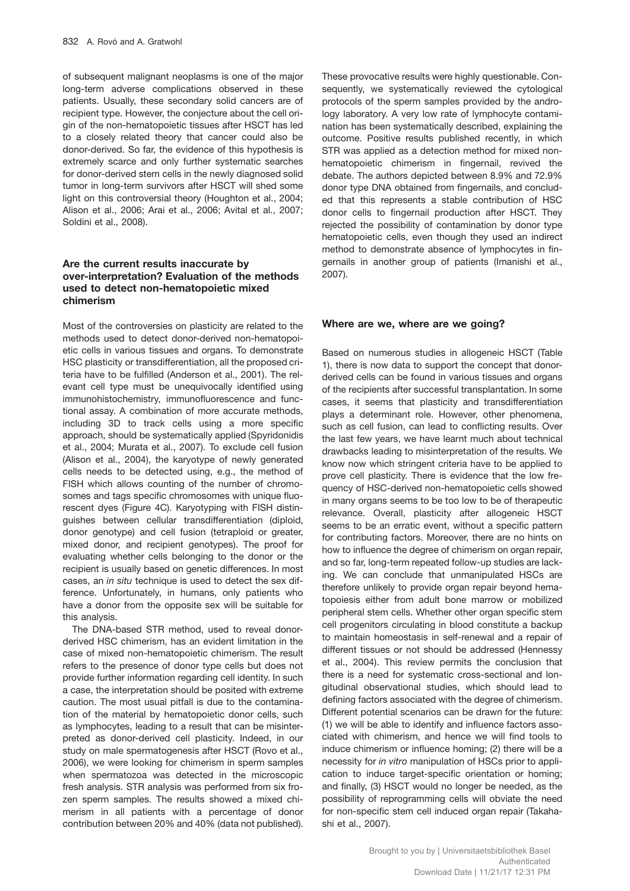of subsequent malignant neoplasms is one of the major long-term adverse complications observed in these patients. Usually, these secondary solid cancers are of recipient type. However, the conjecture about the cell origin of the non-hematopoietic tissues after HSCT has led to a closely related theory that cancer could also be donor-derived. So far, the evidence of this hypothesis is extremely scarce and only further systematic searches for donor-derived stem cells in the newly diagnosed solid tumor in long-term survivors after HSCT will shed some light on this controversial theory (Houghton et al., 2004; Alison et al., 2006; Arai et al., 2006; Avital et al., 2007; Soldini et al., 2008).

# **Are the current results inaccurate by over-interpretation? Evaluation of the methods used to detect non-hematopoietic mixed chimerism**

Most of the controversies on plasticity are related to the methods used to detect donor-derived non-hematopoietic cells in various tissues and organs. To demonstrate HSC plasticity or transdifferentiation, all the proposed criteria have to be fulfilled (Anderson et al., 2001). The relevant cell type must be unequivocally identified using immunohistochemistry, immunofluorescence and functional assay. A combination of more accurate methods, including 3D to track cells using a more specific approach, should be systematically applied (Spyridonidis et al., 2004; Murata et al., 2007). To exclude cell fusion (Alison et al., 2004), the karyotype of newly generated cells needs to be detected using, e.g., the method of FISH which allows counting of the number of chromosomes and tags specific chromosomes with unique fluorescent dyes (Figure 4C). Karyotyping with FISH distinguishes between cellular transdifferentiation (diploid, donor genotype) and cell fusion (tetraploid or greater, mixed donor, and recipient genotypes). The proof for evaluating whether cells belonging to the donor or the recipient is usually based on genetic differences. In most cases, an *in situ* technique is used to detect the sex difference. Unfortunately, in humans, only patients who have a donor from the opposite sex will be suitable for this analysis.

The DNA-based STR method, used to reveal donorderived HSC chimerism, has an evident limitation in the case of mixed non-hematopoietic chimerism. The result refers to the presence of donor type cells but does not provide further information regarding cell identity. In such a case, the interpretation should be posited with extreme caution. The most usual pitfall is due to the contamination of the material by hematopoietic donor cells, such as lymphocytes, leading to a result that can be misinterpreted as donor-derived cell plasticity. Indeed, in our study on male spermatogenesis after HSCT (Rovo et al., 2006), we were looking for chimerism in sperm samples when spermatozoa was detected in the microscopic fresh analysis. STR analysis was performed from six frozen sperm samples. The results showed a mixed chimerism in all patients with a percentage of donor contribution between 20% and 40% (data not published).

These provocative results were highly questionable. Consequently, we systematically reviewed the cytological protocols of the sperm samples provided by the andrology laboratory. A very low rate of lymphocyte contamination has been systematically described, explaining the outcome. Positive results published recently, in which STR was applied as a detection method for mixed nonhematopoietic chimerism in fingernail, revived the debate. The authors depicted between 8.9% and 72.9% donor type DNA obtained from fingernails, and concluded that this represents a stable contribution of HSC donor cells to fingernail production after HSCT. They rejected the possibility of contamination by donor type hematopoietic cells, even though they used an indirect method to demonstrate absence of lymphocytes in fingernails in another group of patients (Imanishi et al., 2007).

# **Where are we, where are we going?**

Based on numerous studies in allogeneic HSCT (Table 1), there is now data to support the concept that donorderived cells can be found in various tissues and organs of the recipients after successful transplantation. In some cases, it seems that plasticity and transdifferentiation plays a determinant role. However, other phenomena, such as cell fusion, can lead to conflicting results. Over the last few years, we have learnt much about technical drawbacks leading to misinterpretation of the results. We know now which stringent criteria have to be applied to prove cell plasticity. There is evidence that the low frequency of HSC-derived non-hematopoietic cells showed in many organs seems to be too low to be of therapeutic relevance. Overall, plasticity after allogeneic HSCT seems to be an erratic event, without a specific pattern for contributing factors. Moreover, there are no hints on how to influence the degree of chimerism on organ repair, and so far, long-term repeated follow-up studies are lacking. We can conclude that unmanipulated HSCs are therefore unlikely to provide organ repair beyond hematopoiesis either from adult bone marrow or mobilized peripheral stem cells. Whether other organ specific stem cell progenitors circulating in blood constitute a backup to maintain homeostasis in self-renewal and a repair of different tissues or not should be addressed (Hennessy et al., 2004). This review permits the conclusion that there is a need for systematic cross-sectional and longitudinal observational studies, which should lead to defining factors associated with the degree of chimerism. Different potential scenarios can be drawn for the future: (1) we will be able to identify and influence factors associated with chimerism, and hence we will find tools to induce chimerism or influence homing; (2) there will be a necessity for *in vitro* manipulation of HSCs prior to application to induce target-specific orientation or homing; and finally, (3) HSCT would no longer be needed, as the possibility of reprogramming cells will obviate the need for non-specific stem cell induced organ repair (Takahashi et al., 2007).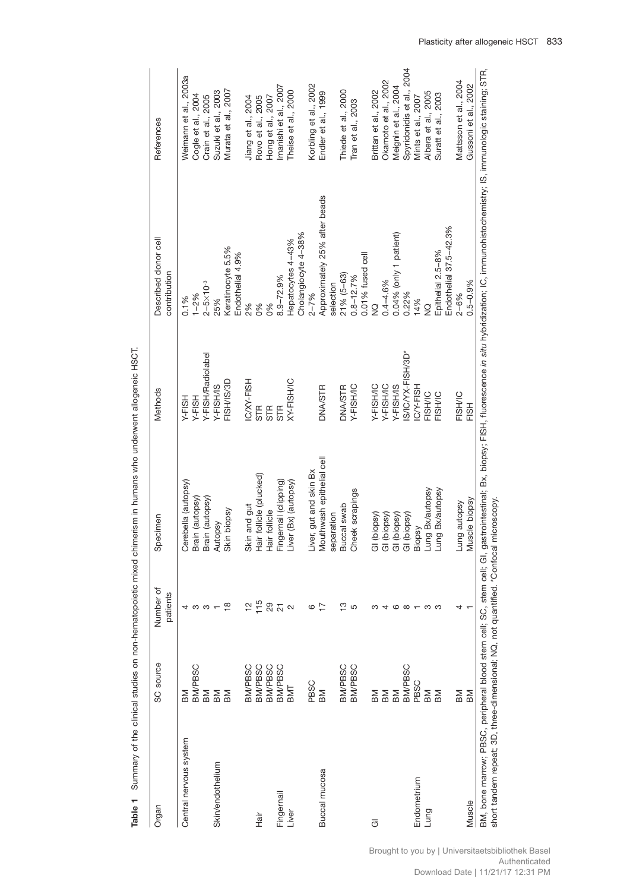| <b>BM/PBSC</b><br><b>BM</b><br>BM<br>BM<br>Central nervous system<br>Skin/endothelium |                | Specimen                        | Methods           | Described donor cell                  | References                |
|---------------------------------------------------------------------------------------|----------------|---------------------------------|-------------------|---------------------------------------|---------------------------|
|                                                                                       | patients       |                                 |                   | contribution                          |                           |
|                                                                                       |                | Cerebella (autopsy)             | Y-FISH            | 0.1%                                  | Weimann et al., 2003a     |
|                                                                                       | ო ო            | Brain (autopsy)                 | Y-FISH            | $1 - 2%$                              | Cogle et al., 2004        |
|                                                                                       |                | Brain (autopsy)                 | Y-FISH/Radiolabel | $2 - 5 \times 10^{-3}$                | Crain et al., 2005        |
|                                                                                       |                | Autopsy                         | Y-FISH/IS         | 25%                                   | Suzuki et al., 2003       |
| ВM                                                                                    | $\frac{8}{1}$  | Skin biopsy                     | FISH/IS/3D        | Keratinocyte 5.5%<br>Endothelial 4.9% | Murata et al., 2007       |
| <b>BM/PBSC</b>                                                                        |                | Skin and gut                    | IC/XY-FISH        | 2%                                    | Jiang et al., 2004        |
| <b>BM/PBSC</b><br>-iā<br>上                                                            | 715            | Hair follicle (plucked)         | STR               | 0%                                    | Rovo et al., 2005         |
| <b>BM/PBSC</b>                                                                        | 29             | Hair follicle                   | <b>STR</b>        | 6%                                    | Hong et al., 2007         |
| <b>BM/PBSC</b><br>Fingernail                                                          | $\overline{c}$ | Fingernail (clipping)           | <b>STR</b>        | $8.9 - 72.9%$                         | Imanishi et al., 2007     |
| BMT<br>Liver                                                                          | $\sim$         | Liver (Bx) (autopsy)            | XY-FISH/IC        | Hepatocytes 4-43%                     | Theise et al., 2000       |
|                                                                                       |                |                                 |                   | Cholangiocyte 4-38%                   |                           |
| PBSC                                                                                  | 6              | Liver, gut and skin Bx          |                   | $2 - 7%$                              | Korbling et al., 2002     |
| MB<br>Buccal mucosa                                                                   | $\overline{1}$ | Mouthwash epithelial cell       | <b>DNA/STR</b>    | Approximately 25% after beads         | Endler et al., 1999       |
|                                                                                       |                | separation                      |                   | selection                             |                           |
| <b>BM/PBSC</b>                                                                        | <u>ო</u> ი     | Buccal swab                     | <b>DNA/STR</b>    | $21% (5-63)$                          | Thiede et al., 2000       |
| BM/PBSC                                                                               |                | Cheek scrapings                 | Y-FISH/IC         | $0.8 - 12.7%$                         | Tran et al., 2003         |
|                                                                                       |                |                                 |                   | 0.01% fused cell                      |                           |
| BM<br>$\overline{\sigma}$                                                             |                | (biopsy)<br>$\overline{\sigma}$ | Y-FISH/IC         | $\frac{0}{2}$                         | Brittan et al., 2002      |
| ВM                                                                                    | 4              | (biopsy)<br>$\overline{\sigma}$ | Y-FISH/IC         | $0.4 - 4.6%$                          | Okamoto et al., 2002      |
| MB                                                                                    | G              | (biopsy)<br>$\overline{\circ}$  | Y-FISH/IS         | 0.04% (only 1 patient)                | Meignin et al., 2004      |
| <b>BM/PBSC</b>                                                                        | $\infty$       | (biopsy)<br>$\overline{\sigma}$ | S/IC/YX-FISH/3D*  | 0.22%                                 | Spyridonidis et al., 2004 |
| PBSC<br>Endometrium                                                                   |                | Biopsy                          | CY-FISH           | 14%                                   | Mints et al., 2007        |
| BM<br>Lung                                                                            | က              | Lung Bx/autopsy                 | FISH/IC           | $\frac{1}{2}$                         | Albera et al., 2005       |
| ВM                                                                                    | ო              | Lung Bx/autopsy                 | FISH/IC           | Epithelial 2.5-8%                     | Suratt et al., 2003       |
|                                                                                       |                |                                 |                   | Endothelial 37.5-42.3%                |                           |
| BM                                                                                    |                | Lung autopsy                    | <b>FISH/IC</b>    | $2 - 6%$                              | Mattsson et al., 2004     |
| MB<br>Muscle                                                                          |                | Muscle biopsy                   | FISH              | $0.5 - 0.9%$                          | Gussoni et al., 2002      |

Table 1 Summary of the clinical studies on non-hematopoietic mixed chimerism in humans who underwent allogeneic HSCT. **Table 1** Summary of the clinical studies on non-hematopoietic mixed chimerism in humans who underwent allogeneic HSCT.

Brought to you by | Universitaetsbibliothek Basel

Authenticated

Download Date | 11/21/17 12:31 PM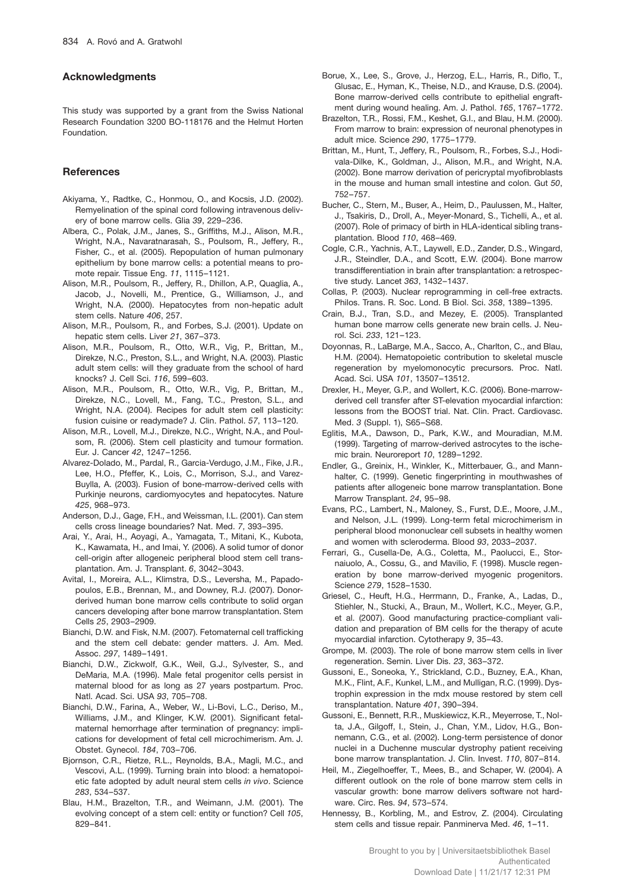# **Acknowledgments**

This study was supported by a grant from the Swiss National Research Foundation 3200 BO-118176 and the Helmut Horten Foundation.

## **References**

- Akiyama, Y., Radtke, C., Honmou, O., and Kocsis, J.D. (2002). Remyelination of the spinal cord following intravenous delivery of bone marrow cells. Glia *39*, 229–236.
- Albera, C., Polak, J.M., Janes, S., Griffiths, M.J., Alison, M.R., Wright, N.A., Navaratnarasah, S., Poulsom, R., Jeffery, R., Fisher, C., et al. (2005). Repopulation of human pulmonary epithelium by bone marrow cells: a potential means to promote repair. Tissue Eng. *11*, 1115–1121.
- Alison, M.R., Poulsom, R., Jeffery, R., Dhillon, A.P., Quaglia, A., Jacob, J., Novelli, M., Prentice, G., Williamson, J., and Wright, N.A. (2000). Hepatocytes from non-hepatic adult stem cells. Nature *406*, 257.
- Alison, M.R., Poulsom, R., and Forbes, S.J. (2001). Update on hepatic stem cells. Liver *21*, 367–373.
- Alison, M.R., Poulsom, R., Otto, W.R., Vig, P., Brittan, M., Direkze, N.C., Preston, S.L., and Wright, N.A. (2003). Plastic adult stem cells: will they graduate from the school of hard knocks? J. Cell Sci. *116*, 599–603.
- Alison, M.R., Poulsom, R., Otto, W.R., Vig, P., Brittan, M., Direkze, N.C., Lovell, M., Fang, T.C., Preston, S.L., and Wright, N.A. (2004). Recipes for adult stem cell plasticity: fusion cuisine or readymade? J. Clin. Pathol. *57*, 113–120.
- Alison, M.R., Lovell, M.J., Direkze, N.C., Wright, N.A., and Poulsom, R. (2006). Stem cell plasticity and tumour formation. Eur. J. Cancer *42*, 1247–1256.
- Alvarez-Dolado, M., Pardal, R., Garcia-Verdugo, J.M., Fike, J.R., Lee, H.O., Pfeffer, K., Lois, C., Morrison, S.J., and Varez-Buylla, A. (2003). Fusion of bone-marrow-derived cells with Purkinje neurons, cardiomyocytes and hepatocytes. Nature *425*, 968–973.
- Anderson, D.J., Gage, F.H., and Weissman, I.L. (2001). Can stem cells cross lineage boundaries? Nat. Med. *7*, 393–395.
- Arai, Y., Arai, H., Aoyagi, A., Yamagata, T., Mitani, K., Kubota, K., Kawamata, H., and Imai, Y. (2006). A solid tumor of donor cell-origin after allogeneic peripheral blood stem cell transplantation. Am. J. Transplant. *6*, 3042–3043.
- Avital, I., Moreira, A.L., Klimstra, D.S., Leversha, M., Papadopoulos, E.B., Brennan, M., and Downey, R.J. (2007). Donorderived human bone marrow cells contribute to solid organ cancers developing after bone marrow transplantation. Stem Cells *25*, 2903–2909.
- Bianchi, D.W. and Fisk, N.M. (2007). Fetomaternal cell trafficking and the stem cell debate: gender matters. J. Am. Med. Assoc. *297*, 1489–1491.
- Bianchi, D.W., Zickwolf, G.K., Weil, G.J., Sylvester, S., and DeMaria, M.A. (1996). Male fetal progenitor cells persist in maternal blood for as long as 27 years postpartum. Proc. Natl. Acad. Sci. USA *93*, 705–708.
- Bianchi, D.W., Farina, A., Weber, W., Li-Bovi, L.C., Deriso, M., Williams, J.M., and Klinger, K.W. (2001). Significant fetalmaternal hemorrhage after termination of pregnancy: implications for development of fetal cell microchimerism. Am. J. Obstet. Gynecol. *184*, 703–706.
- Bjornson, C.R., Rietze, R.L., Reynolds, B.A., Magli, M.C., and Vescovi, A.L. (1999). Turning brain into blood: a hematopoietic fate adopted by adult neural stem cells *in vivo*. Science *283*, 534–537.
- Blau, H.M., Brazelton, T.R., and Weimann, J.M. (2001). The evolving concept of a stem cell: entity or function? Cell *105*, 829–841.
- Borue, X., Lee, S., Grove, J., Herzog, E.L., Harris, R., Diflo, T., Glusac, E., Hyman, K., Theise, N.D., and Krause, D.S. (2004). Bone marrow-derived cells contribute to epithelial engraftment during wound healing. Am. J. Pathol. *165*, 1767–1772.
- Brazelton, T.R., Rossi, F.M., Keshet, G.I., and Blau, H.M. (2000). From marrow to brain: expression of neuronal phenotypes in adult mice. Science *290*, 1775–1779.
- Brittan, M., Hunt, T., Jeffery, R., Poulsom, R., Forbes, S.J., Hodivala-Dilke, K., Goldman, J., Alison, M.R., and Wright, N.A. (2002). Bone marrow derivation of pericryptal myofibroblasts in the mouse and human small intestine and colon. Gut *50*, 752–757.
- Bucher, C., Stern, M., Buser, A., Heim, D., Paulussen, M., Halter, J., Tsakiris, D., Droll, A., Meyer-Monard, S., Tichelli, A., et al. (2007). Role of primacy of birth in HLA-identical sibling transplantation. Blood *110*, 468–469.
- Cogle, C.R., Yachnis, A.T., Laywell, E.D., Zander, D.S., Wingard, J.R., Steindler, D.A., and Scott, E.W. (2004). Bone marrow transdifferentiation in brain after transplantation: a retrospective study. Lancet *363*, 1432–1437.
- Collas, P. (2003). Nuclear reprogramming in cell-free extracts. Philos. Trans. R. Soc. Lond. B Biol. Sci. *358*, 1389–1395.
- Crain, B.J., Tran, S.D., and Mezey, E. (2005). Transplanted human bone marrow cells generate new brain cells. J. Neurol. Sci. *233*, 121–123.
- Doyonnas, R., LaBarge, M.A., Sacco, A., Charlton, C., and Blau, H.M. (2004). Hematopoietic contribution to skeletal muscle regeneration by myelomonocytic precursors. Proc. Natl. Acad. Sci. USA *101*, 13507–13512.
- Drexler, H., Meyer, G.P., and Wollert, K.C. (2006). Bone-marrowderived cell transfer after ST-elevation myocardial infarction: lessons from the BOOST trial. Nat. Clin. Pract. Cardiovasc. Med. *3* (Suppl. 1), S65–S68.
- Eglitis, M.A., Dawson, D., Park, K.W., and Mouradian, M.M. (1999). Targeting of marrow-derived astrocytes to the ischemic brain. Neuroreport *10*, 1289–1292.
- Endler, G., Greinix, H., Winkler, K., Mitterbauer, G., and Mannhalter, C. (1999). Genetic fingerprinting in mouthwashes of patients after allogeneic bone marrow transplantation. Bone Marrow Transplant. *24*, 95–98.
- Evans, P.C., Lambert, N., Maloney, S., Furst, D.E., Moore, J.M., and Nelson, J.L. (1999). Long-term fetal microchimerism in peripheral blood mononuclear cell subsets in healthy women and women with scleroderma. Blood *93*, 2033–2037.
- Ferrari, G., Cusella-De, A.G., Coletta, M., Paolucci, E., Stornaiuolo, A., Cossu, G., and Mavilio, F. (1998). Muscle regeneration by bone marrow-derived myogenic progenitors. Science *279*, 1528–1530.
- Griesel, C., Heuft, H.G., Herrmann, D., Franke, A., Ladas, D., Stiehler, N., Stucki, A., Braun, M., Wollert, K.C., Meyer, G.P., et al. (2007). Good manufacturing practice-compliant validation and preparation of BM cells for the therapy of acute myocardial infarction. Cytotherapy *9*, 35–43.
- Grompe, M. (2003). The role of bone marrow stem cells in liver regeneration. Semin. Liver Dis. *23*, 363–372.
- Gussoni, E., Soneoka, Y., Strickland, C.D., Buzney, E.A., Khan, M.K., Flint, A.F., Kunkel, L.M., and Mulligan, R.C. (1999). Dystrophin expression in the mdx mouse restored by stem cell transplantation. Nature *401*, 390–394.
- Gussoni, E., Bennett, R.R., Muskiewicz, K.R., Meyerrose, T., Nolta, J.A., Gilgoff, I., Stein, J., Chan, Y.M., Lidov, H.G., Bonnemann, C.G., et al. (2002). Long-term persistence of donor nuclei in a Duchenne muscular dystrophy patient receiving bone marrow transplantation. J. Clin. Invest. *110*, 807–814.
- Heil, M., Ziegelhoeffer, T., Mees, B., and Schaper, W. (2004). A different outlook on the role of bone marrow stem cells in vascular growth: bone marrow delivers software not hardware. Circ. Res. *94*, 573–574.
- Hennessy, B., Korbling, M., and Estrov, Z. (2004). Circulating stem cells and tissue repair. Panminerva Med. *46*, 1–11.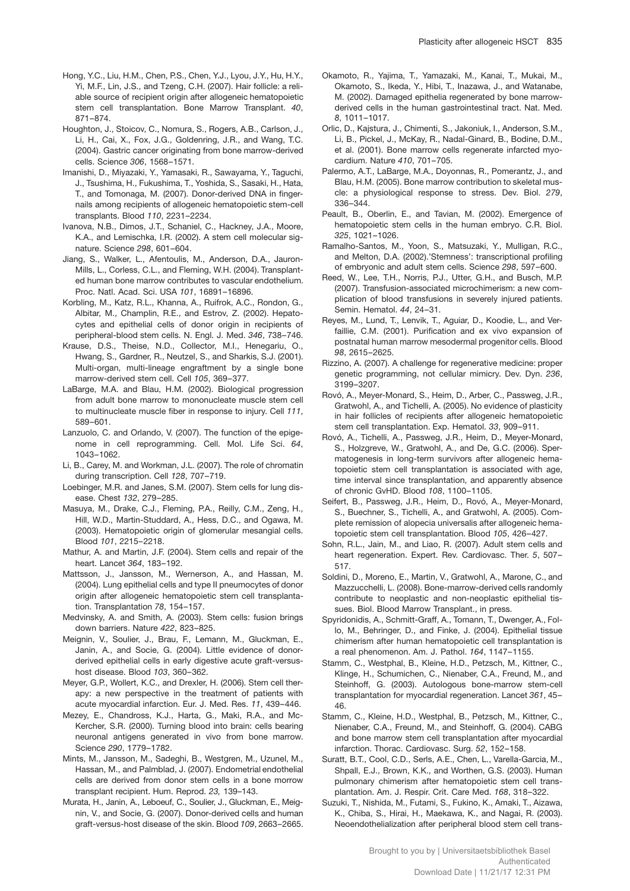- Hong, Y.C., Liu, H.M., Chen, P.S., Chen, Y.J., Lyou, J.Y., Hu, H.Y., Yi, M.F., Lin, J.S., and Tzeng, C.H. (2007). Hair follicle: a reliable source of recipient origin after allogeneic hematopoietic stem cell transplantation. Bone Marrow Transplant. *40*, 871–874.
- Houghton, J., Stoicov, C., Nomura, S., Rogers, A.B., Carlson, J., Li, H., Cai, X., Fox, J.G., Goldenring, J.R., and Wang, T.C. (2004). Gastric cancer originating from bone marrow-derived cells. Science *306*, 1568–1571.
- Imanishi, D., Miyazaki, Y., Yamasaki, R., Sawayama, Y., Taguchi, J., Tsushima, H., Fukushima, T., Yoshida, S., Sasaki, H., Hata, T., and Tomonaga, M. (2007). Donor-derived DNA in fingernails among recipients of allogeneic hematopoietic stem-cell transplants. Blood *110*, 2231–2234.
- Ivanova, N.B., Dimos, J.T., Schaniel, C., Hackney, J.A., Moore, K.A., and Lemischka, I.R. (2002). A stem cell molecular signature. Science *298*, 601–604.
- Jiang, S., Walker, L., Afentoulis, M., Anderson, D.A., Jauron-Mills, L., Corless, C.L., and Fleming, W.H. (2004). Transplanted human bone marrow contributes to vascular endothelium. Proc. Natl. Acad. Sci. USA *101*, 16891–16896.
- Korbling, M., Katz, R.L., Khanna, A., Ruifrok, A.C., Rondon, G., Albitar, M., Champlin, R.E., and Estrov, Z. (2002). Hepatocytes and epithelial cells of donor origin in recipients of peripheral-blood stem cells. N. Engl. J. Med. *346*, 738–746.
- Krause, D.S., Theise, N.D., Collector, M.I., Henegariu, O., Hwang, S., Gardner, R., Neutzel, S., and Sharkis, S.J. (2001). Multi-organ, multi-lineage engraftment by a single bone marrow-derived stem cell. Cell *105*, 369–377.
- LaBarge, M.A. and Blau, H.M. (2002). Biological progression from adult bone marrow to mononucleate muscle stem cell to multinucleate muscle fiber in response to injury. Cell *111*, 589–601.
- Lanzuolo, C. and Orlando, V. (2007). The function of the epigenome in cell reprogramming. Cell. Mol. Life Sci. *64*, 1043–1062.
- Li, B., Carey, M. and Workman, J.L. (2007). The role of chromatin during transcription. Cell *128*, 707–719.
- Loebinger, M.R. and Janes, S.M. (2007). Stem cells for lung disease. Chest *132*, 279–285.
- Masuya, M., Drake, C.J., Fleming, P.A., Reilly, C.M., Zeng, H., Hill, W.D., Martin-Studdard, A., Hess, D.C., and Ogawa, M. (2003). Hematopoietic origin of glomerular mesangial cells. Blood *101*, 2215–2218.
- Mathur, A. and Martin, J.F. (2004). Stem cells and repair of the heart. Lancet *364*, 183–192.
- Mattsson, J., Jansson, M., Wernerson, A., and Hassan, M. (2004). Lung epithelial cells and type II pneumocytes of donor origin after allogeneic hematopoietic stem cell transplantation. Transplantation *78*, 154–157.
- Medvinsky, A. and Smith, A. (2003). Stem cells: fusion brings down barriers. Nature *422*, 823–825.
- Meignin, V., Soulier, J., Brau, F., Lemann, M., Gluckman, E., Janin, A., and Socie, G. (2004). Little evidence of donorderived epithelial cells in early digestive acute graft-versushost disease. Blood *103*, 360–362.
- Meyer, G.P., Wollert, K.C., and Drexler, H. (2006). Stem cell therapy: a new perspective in the treatment of patients with acute myocardial infarction. Eur. J. Med. Res. *11*, 439–446.
- Mezey, E., Chandross, K.J., Harta, G., Maki, R.A., and Mc-Kercher, S.R. (2000). Turning blood into brain: cells bearing neuronal antigens generated in vivo from bone marrow. Science *290*, 1779–1782.
- Mints, M., Jansson, M., Sadeghi, B., Westgren, M., Uzunel, M., Hassan, M., and Palmblad, J. (2007). Endometrial endothelial cells are derived from donor stem cells in a bone morrow transplant recipient. Hum. Reprod. *23,* 139–143.
- Murata, H., Janin, A., Leboeuf, C., Soulier, J., Gluckman, E., Meignin, V., and Socie, G. (2007). Donor-derived cells and human graft-versus-host disease of the skin. Blood *109*, 2663–2665.
- Okamoto, R., Yajima, T., Yamazaki, M., Kanai, T., Mukai, M., Okamoto, S., Ikeda, Y., Hibi, T., Inazawa, J., and Watanabe, M. (2002). Damaged epithelia regenerated by bone marrowderived cells in the human gastrointestinal tract. Nat. Med. *8*, 1011–1017.
- Orlic, D., Kajstura, J., Chimenti, S., Jakoniuk, I., Anderson, S.M., Li, B., Pickel, J., McKay, R., Nadal-Ginard, B., Bodine, D.M., et al. (2001). Bone marrow cells regenerate infarcted myocardium. Nature *410*, 701–705.
- Palermo, A.T., LaBarge, M.A., Doyonnas, R., Pomerantz, J., and Blau, H.M. (2005). Bone marrow contribution to skeletal muscle: a physiological response to stress. Dev. Biol. *279*, 336–344.
- Peault, B., Oberlin, E., and Tavian, M. (2002). Emergence of hematopoietic stem cells in the human embryo. C.R. Biol. *325*, 1021–1026.
- Ramalho-Santos, M., Yoon, S., Matsuzaki, Y., Mulligan, R.C., and Melton, D.A. (2002).'Stemness': transcriptional profiling of embryonic and adult stem cells. Science *298*, 597–600.
- Reed, W., Lee, T.H., Norris, P.J., Utter, G.H., and Busch, M.P. (2007). Transfusion-associated microchimerism: a new complication of blood transfusions in severely injured patients. Semin. Hematol. *44*, 24–31.
- Reyes, M., Lund, T., Lenvik, T., Aguiar, D., Koodie, L., and Verfaillie, C.M. (2001). Purification and ex vivo expansion of postnatal human marrow mesodermal progenitor cells. Blood *98*, 2615–2625.
- Rizzino, A. (2007). A challenge for regenerative medicine: proper genetic programming, not cellular mimicry. Dev. Dyn. *236*, 3199–3207.
- Rovó, A., Meyer-Monard, S., Heim, D., Arber, C., Passweg, J.R., Gratwohl, A., and Tichelli, A. (2005). No evidence of plasticity in hair follicles of recipients after allogeneic hematopoietic stem cell transplantation. Exp. Hematol. *33*, 909–911.
- Rovó, A., Tichelli, A., Passweg, J.R., Heim, D., Meyer-Monard, S., Holzgreve, W., Gratwohl, A., and De, G.C. (2006). Spermatogenesis in long-term survivors after allogeneic hematopoietic stem cell transplantation is associated with age, time interval since transplantation, and apparently absence of chronic GvHD. Blood *108*, 1100–1105.
- Seifert, B., Passweg, J.R., Heim, D., Rovó, A., Meyer-Monard, S., Buechner, S., Tichelli, A., and Gratwohl, A. (2005). Complete remission of alopecia universalis after allogeneic hematopoietic stem cell transplantation. Blood *105*, 426–427.
- Sohn, R.L., Jain, M., and Liao, R. (2007). Adult stem cells and heart regeneration. Expert. Rev. Cardiovasc. Ther. *5*, 507– 517.
- Soldini, D., Moreno, E., Martin, V., Gratwohl, A., Marone, C., and Mazzucchelli, L. (2008). Bone-marrow-derived cells randomly contribute to neoplastic and non-neoplastic epithelial tissues. Biol. Blood Marrow Transplant., in press.
- Spyridonidis, A., Schmitt-Graff, A., Tomann, T., Dwenger, A., Follo, M., Behringer, D., and Finke, J. (2004). Epithelial tissue chimerism after human hematopoietic cell transplantation is a real phenomenon. Am. J. Pathol. *164*, 1147–1155.
- Stamm, C., Westphal, B., Kleine, H.D., Petzsch, M., Kittner, C., Klinge, H., Schumichen, C., Nienaber, C.A., Freund, M., and Steinhoff, G. (2003). Autologous bone-marrow stem-cell transplantation for myocardial regeneration. Lancet *361*, 45– 46.
- Stamm, C., Kleine, H.D., Westphal, B., Petzsch, M., Kittner, C., Nienaber, C.A., Freund, M., and Steinhoff, G. (2004). CABG and bone marrow stem cell transplantation after myocardial infarction. Thorac. Cardiovasc. Surg. *52*, 152–158.
- Suratt, B.T., Cool, C.D., Serls, A.E., Chen, L., Varella-Garcia, M., Shpall, E.J., Brown, K.K., and Worthen, G.S. (2003). Human pulmonary chimerism after hematopoietic stem cell transplantation. Am. J. Respir. Crit. Care Med. *168*, 318–322.
- Suzuki, T., Nishida, M., Futami, S., Fukino, K., Amaki, T., Aizawa, K., Chiba, S., Hirai, H., Maekawa, K., and Nagai, R. (2003). Neoendothelialization after peripheral blood stem cell trans-